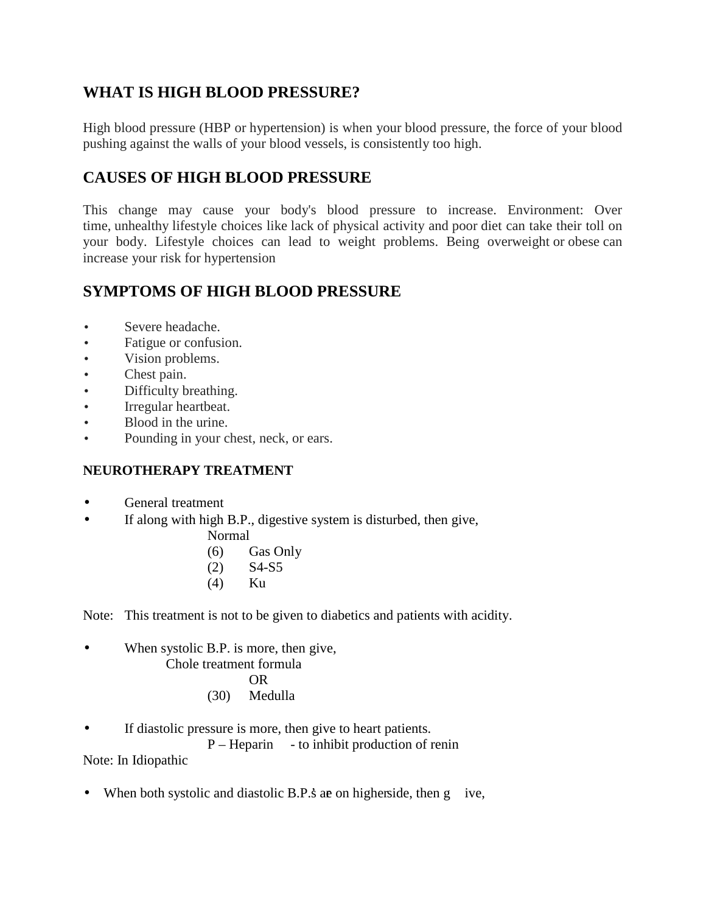### **WHAT IS HIGH BLOOD PRESSURE?**

High blood pressure (HBP or hypertension) is when your blood pressure, the force of your blood pushing against the walls of your blood vessels, is consistently too high.

# **CAUSES OF HIGH BLOOD PRESSURE**

This change may cause your body's blood pressure to increase. Environment: Over time, unhealthy lifestyle choices like lack of physical activity and poor diet can take their toll on your body. Lifestyle choices can lead to weight problems. Being overweight or obese can increase your risk for hypertension

# **SYMPTOMS OF HIGH BLOOD PRESSURE**

- Severe headache.
- Fatigue or confusion.
- Vision problems.
- Chest pain.
- Difficulty breathing.
- Irregular heartbeat.
- Blood in the urine.
- Pounding in your chest, neck, or ears.

#### **NEUROTHERAPY TREATMENT**

- General treatment
- If along with high B.P., digestive system is disturbed, then give, Normal
	- (6) Gas Only
	- (2) S4-S5
	- (4) Ku
- Note: This treatment is not to be given to diabetics and patients with acidity.
- When systolic B.P. is more, then give, Chole treatment formula

#### OR

- (30) Medulla
- If diastolic pressure is more, then give to heart patients.

P – Heparin - to inhibit production of renin

Note: In Idiopathic

• When both **s**ytic and diablic B.P.'s are on higher side, then g ive,